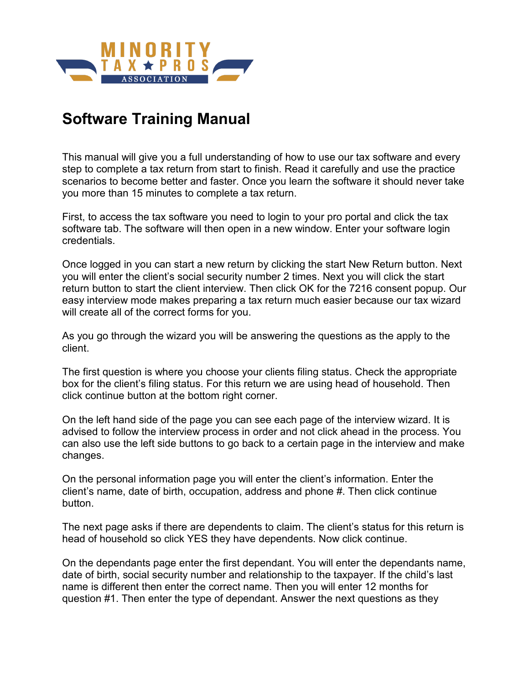

## **Software Training Manual**

This manual will give you a full understanding of how to use our tax software and every step to complete a tax return from start to finish. Read it carefully and use the practice scenarios to become better and faster. Once you learn the software it should never take you more than 15 minutes to complete a tax return.

First, to access the tax software you need to login to your pro portal and click the tax software tab. The software will then open in a new window. Enter your software login credentials.

Once logged in you can start a new return by clicking the start New Return button. Next you will enter the client's social security number 2 times. Next you will click the start return button to start the client interview. Then click OK for the 7216 consent popup. Our easy interview mode makes preparing a tax return much easier because our tax wizard will create all of the correct forms for you.

As you go through the wizard you will be answering the questions as the apply to the client.

The first question is where you choose your clients filing status. Check the appropriate box for the client's filing status. For this return we are using head of household. Then click continue button at the bottom right corner.

On the left hand side of the page you can see each page of the interview wizard. It is advised to follow the interview process in order and not click ahead in the process. You can also use the left side buttons to go back to a certain page in the interview and make changes.

On the personal information page you will enter the client's information. Enter the client's name, date of birth, occupation, address and phone #. Then click continue button.

The next page asks if there are dependents to claim. The client's status for this return is head of household so click YES they have dependents. Now click continue.

On the dependants page enter the first dependant. You will enter the dependants name, date of birth, social security number and relationship to the taxpayer. If the child's last name is different then enter the correct name. Then you will enter 12 months for question #1. Then enter the type of dependant. Answer the next questions as they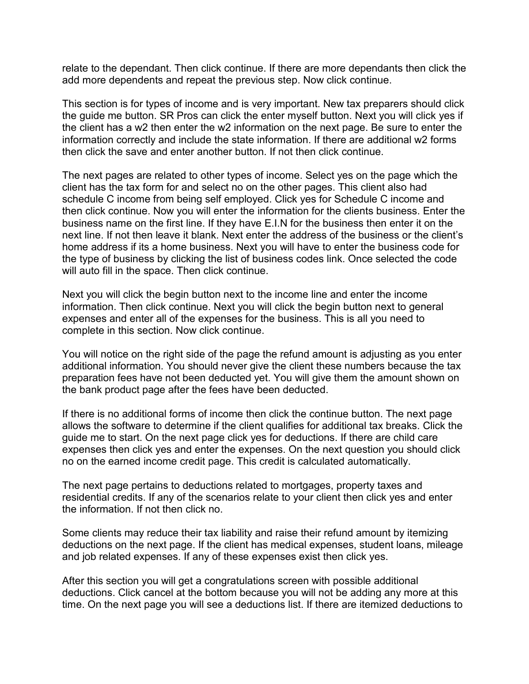relate to the dependant. Then click continue. If there are more dependants then click the add more dependents and repeat the previous step. Now click continue.

This section is for types of income and is very important. New tax preparers should click the guide me button. SR Pros can click the enter myself button. Next you will click yes if the client has a w2 then enter the w2 information on the next page. Be sure to enter the information correctly and include the state information. If there are additional w2 forms then click the save and enter another button. If not then click continue.

The next pages are related to other types of income. Select yes on the page which the client has the tax form for and select no on the other pages. This client also had schedule C income from being self employed. Click yes for Schedule C income and then click continue. Now you will enter the information for the clients business. Enter the business name on the first line. If they have E.I.N for the business then enter it on the next line. If not then leave it blank. Next enter the address of the business or the client's home address if its a home business. Next you will have to enter the business code for the type of business by clicking the list of business codes link. Once selected the code will auto fill in the space. Then click continue.

Next you will click the begin button next to the income line and enter the income information. Then click continue. Next you will click the begin button next to general expenses and enter all of the expenses for the business. This is all you need to complete in this section. Now click continue.

You will notice on the right side of the page the refund amount is adjusting as you enter additional information. You should never give the client these numbers because the tax preparation fees have not been deducted yet. You will give them the amount shown on the bank product page after the fees have been deducted.

If there is no additional forms of income then click the continue button. The next page allows the software to determine if the client qualifies for additional tax breaks. Click the guide me to start. On the next page click yes for deductions. If there are child care expenses then click yes and enter the expenses. On the next question you should click no on the earned income credit page. This credit is calculated automatically.

The next page pertains to deductions related to mortgages, property taxes and residential credits. If any of the scenarios relate to your client then click yes and enter the information. If not then click no.

Some clients may reduce their tax liability and raise their refund amount by itemizing deductions on the next page. If the client has medical expenses, student loans, mileage and job related expenses. If any of these expenses exist then click yes.

After this section you will get a congratulations screen with possible additional deductions. Click cancel at the bottom because you will not be adding any more at this time. On the next page you will see a deductions list. If there are itemized deductions to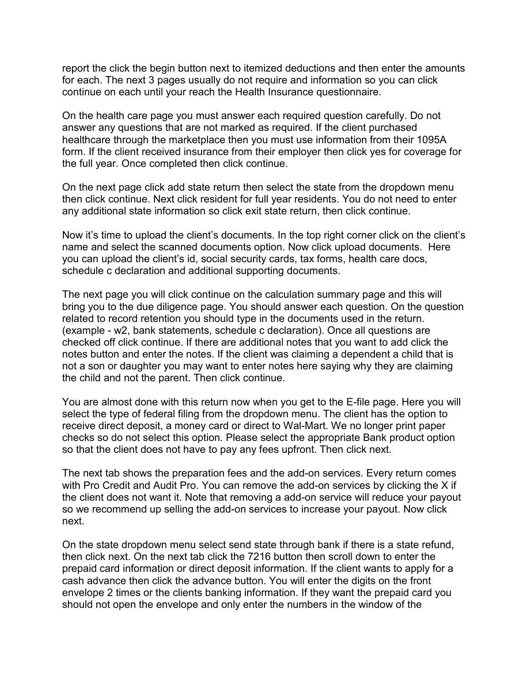report the click the begin button next to itemized deductions and then enter the amounts for each. The next 3 pages usually do not require and information so you can click continue on each until your reach the Health Insurance questionnaire.

On the health care page you must answer each required question carefully. Do not answer any questions that are not marked as required. If the client purchased healthcare through the marketplace then you must use information from their 1095A form. If the client received insurance from their employer then click yes for coverage for the full year. Once completed then click continue.

On the next page click add state return then select the state from the dropdown menu then click continue. Next click resident for full year residents. You do not need to enter any additional state information so click exit state return, then click continue.

Now it's time to upload the client's documents. In the top right corner click on the client's name and select the scanned documents option. Now click upload documents. Here you can upload the client's id, social security cards, tax forms, health care docs, schedule c declaration and additional supporting documents.

The next page you will click continue on the calculation summary page and this will bring you to the due diligence page. You should answer each question. On the question related to record retention you should type in the documents used in the return. (example - w2, bank statements, schedule c declaration). Once all questions are checked off click continue. If there are additional notes that you want to add click the notes button and enter the notes. If the client was claiming a dependent a child that is not a son or daughter you may want to enter notes here saying why they are claiming the child and not the parent. Then click continue.

You are almost done with this return now when you get to the E-file page. Here you will select the type of federal filing from the dropdown menu. The client has the option to receive direct deposit, a money card or direct to Wal-Mart. We no longer print paper checks so do not select this option. Please select the appropriate Bank product option so that the client does not have to pay any fees upfront. Then click next.

The next tab shows the preparation fees and the add-on services. Every return comes with Pro Credit and Audit Pro. You can remove the add-on services by clicking the X if the client does not want it. Note that removing a add-on service will reduce your payout so we recommend up selling the add-on services to increase your payout. Now click next.

On the state dropdown menu select send state through bank if there is a state refund, then click next. On the next tab click the 7216 button then scroll down to enter the prepaid card information or direct deposit information. If the client wants to apply for a cash advance then click the advance button. You will enter the digits on the front envelope 2 times or the clients banking information. If they want the prepaid card you should not open the envelope and only enter the numbers in the window of the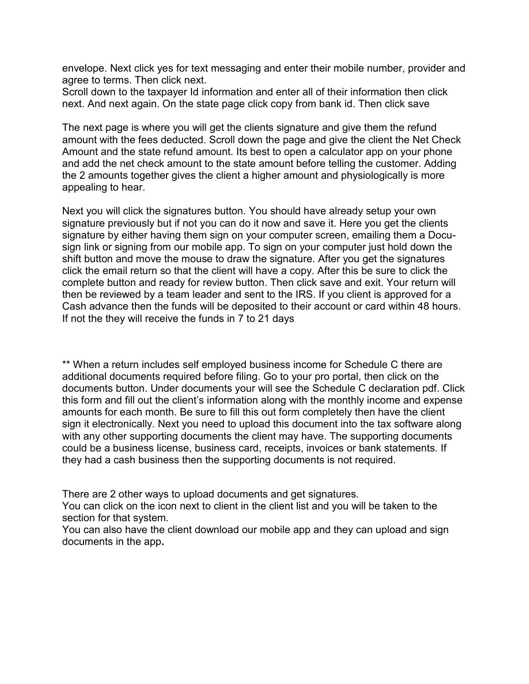envelope. Next click yes for text messaging and enter their mobile number, provider and agree to terms. Then click next.

Scroll down to the taxpayer Id information and enter all of their information then click next. And next again. On the state page click copy from bank id. Then click save

The next page is where you will get the clients signature and give them the refund amount with the fees deducted. Scroll down the page and give the client the Net Check Amount and the state refund amount. Its best to open a calculator app on your phone and add the net check amount to the state amount before telling the customer. Adding the 2 amounts together gives the client a higher amount and physiologically is more appealing to hear.

Next you will click the signatures button. You should have already setup your own signature previously but if not you can do it now and save it. Here you get the clients signature by either having them sign on your computer screen, emailing them a Docusign link or signing from our mobile app. To sign on your computer just hold down the shift button and move the mouse to draw the signature. After you get the signatures click the email return so that the client will have a copy. After this be sure to click the complete button and ready for review button. Then click save and exit. Your return will then be reviewed by a team leader and sent to the IRS. If you client is approved for a Cash advance then the funds will be deposited to their account or card within 48 hours. If not the they will receive the funds in 7 to 21 days

\*\* When a return includes self employed business income for Schedule C there are additional documents required before filing. Go to your pro portal, then click on the documents button. Under documents your will see the Schedule C declaration pdf. Click this form and fill out the client's information along with the monthly income and expense amounts for each month. Be sure to fill this out form completely then have the client sign it electronically. Next you need to upload this document into the tax software along with any other supporting documents the client may have. The supporting documents could be a business license, business card, receipts, invoices or bank statements. If they had a cash business then the supporting documents is not required.

There are 2 other ways to upload documents and get signatures.

You can click on the icon next to client in the client list and you will be taken to the section for that system.

You can also have the client download our mobile app and they can upload and sign documents in the app**.**